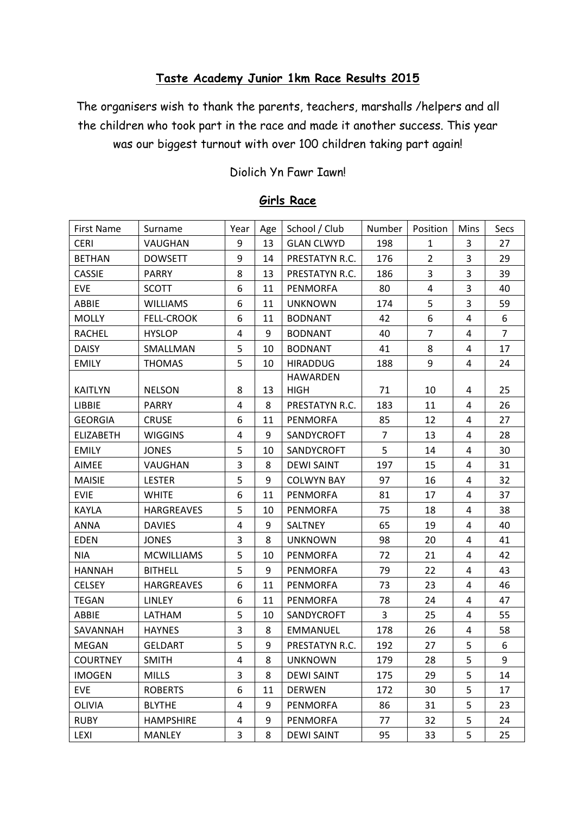## **Taste Academy Junior 1km Race Results 2015**

The organisers wish to thank the parents, teachers, marshalls /helpers and all the children who took part in the race and made it another success. This year was our biggest turnout with over 100 children taking part again!

#### Diolich Yn Fawr Iawn!

| First Name       | Surname           | Year | Age | School / Club     | Number         | Position       | Mins           | Secs           |
|------------------|-------------------|------|-----|-------------------|----------------|----------------|----------------|----------------|
| <b>CERI</b>      | VAUGHAN           | 9    | 13  | <b>GLAN CLWYD</b> | 198            | $\mathbf{1}$   | 3              | 27             |
| <b>BETHAN</b>    | <b>DOWSETT</b>    | 9    | 14  | PRESTATYN R.C.    | 176            | $\overline{2}$ | 3              | 29             |
| <b>CASSIE</b>    | PARRY             | 8    | 13  | PRESTATYN R.C.    | 186            | 3              | 3              | 39             |
| <b>EVE</b>       | <b>SCOTT</b>      | 6    | 11  | <b>PENMORFA</b>   | 80             | $\overline{4}$ | 3              | 40             |
| ABBIE            | <b>WILLIAMS</b>   | 6    | 11  | <b>UNKNOWN</b>    | 174            | 5              | $\overline{3}$ | 59             |
| <b>MOLLY</b>     | <b>FELL-CROOK</b> | 6    | 11  | <b>BODNANT</b>    | 42             | 6              | 4              | 6              |
| <b>RACHEL</b>    | <b>HYSLOP</b>     | 4    | 9   | <b>BODNANT</b>    | 40             | $\overline{7}$ | 4              | $\overline{7}$ |
| <b>DAISY</b>     | SMALLMAN          | 5    | 10  | <b>BODNANT</b>    | 41             | 8              | 4              | 17             |
| <b>EMILY</b>     | <b>THOMAS</b>     | 5    | 10  | <b>HIRADDUG</b>   | 188            | 9              | 4              | 24             |
|                  |                   |      |     | <b>HAWARDEN</b>   |                |                |                |                |
| KAITLYN          | <b>NELSON</b>     | 8    | 13  | <b>HIGH</b>       | 71             | 10             | 4              | 25             |
| LIBBIE           | <b>PARRY</b>      | 4    | 8   | PRESTATYN R.C.    | 183            | 11             | 4              | 26             |
| <b>GEORGIA</b>   | <b>CRUSE</b>      | 6    | 11  | <b>PENMORFA</b>   | 85             | 12             | 4              | 27             |
| <b>ELIZABETH</b> | <b>WIGGINS</b>    | 4    | 9   | SANDYCROFT        | $\overline{7}$ | 13             | 4              | 28             |
| <b>EMILY</b>     | <b>JONES</b>      | 5    | 10  | SANDYCROFT        | 5              | 14             | 4              | 30             |
| AIMEE            | VAUGHAN           | 3    | 8   | <b>DEWI SAINT</b> | 197            | 15             | 4              | 31             |
| <b>MAISIE</b>    | <b>LESTER</b>     | 5    | 9   | <b>COLWYN BAY</b> | 97             | 16             | 4              | 32             |
| <b>EVIE</b>      | <b>WHITE</b>      | 6    | 11  | <b>PENMORFA</b>   | 81             | 17             | 4              | 37             |
| KAYLA            | <b>HARGREAVES</b> | 5    | 10  | <b>PENMORFA</b>   | 75             | 18             | 4              | 38             |
| <b>ANNA</b>      | <b>DAVIES</b>     | 4    | 9   | <b>SALTNEY</b>    | 65             | 19             | 4              | 40             |
| <b>EDEN</b>      | <b>JONES</b>      | 3    | 8   | <b>UNKNOWN</b>    | 98             | 20             | 4              | 41             |
| <b>NIA</b>       | <b>MCWILLIAMS</b> | 5    | 10  | <b>PENMORFA</b>   | 72             | 21             | 4              | 42             |
| <b>HANNAH</b>    | <b>BITHELL</b>    | 5    | 9   | <b>PENMORFA</b>   | 79             | 22             | 4              | 43             |
| <b>CELSEY</b>    | <b>HARGREAVES</b> | 6    | 11  | <b>PENMORFA</b>   | 73             | 23             | 4              | 46             |
| <b>TEGAN</b>     | <b>LINLEY</b>     | 6    | 11  | <b>PENMORFA</b>   | 78             | 24             | 4              | 47             |
| ABBIE            | LATHAM            | 5    | 10  | SANDYCROFT        | 3              | 25             | 4              | 55             |
| SAVANNAH         | <b>HAYNES</b>     | 3    | 8   | <b>EMMANUEL</b>   | 178            | 26             | 4              | 58             |
| <b>MEGAN</b>     | <b>GELDART</b>    | 5    | 9   | PRESTATYN R.C.    | 192            | 27             | 5              | 6              |
| <b>COURTNEY</b>  | <b>SMITH</b>      | 4    | 8   | <b>UNKNOWN</b>    | 179            | 28             | 5              | 9              |
| <b>IMOGEN</b>    | <b>MILLS</b>      | 3    | 8   | <b>DEWI SAINT</b> | 175            | 29             | 5              | 14             |
| <b>EVE</b>       | <b>ROBERTS</b>    | 6    | 11  | <b>DERWEN</b>     | 172            | 30             | 5              | 17             |
| <b>OLIVIA</b>    | <b>BLYTHE</b>     | 4    | 9   | <b>PENMORFA</b>   | 86             | 31             | 5              | 23             |
| <b>RUBY</b>      | <b>HAMPSHIRE</b>  | 4    | 9   | PENMORFA          | 77             | 32             | 5              | 24             |
| LEXI             | <b>MANLEY</b>     | 3    | 8   | <b>DEWI SAINT</b> | 95             | 33             | 5              | 25             |

#### **Girls Race**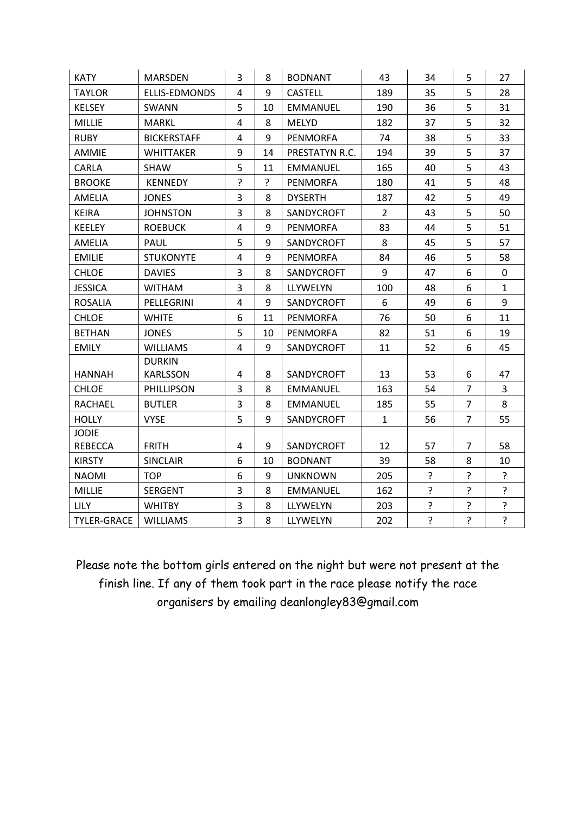| <b>KATY</b>        | <b>MARSDEN</b>                   | 3              | 8  | <b>BODNANT</b>  | 43             | 34 | 5              | 27             |
|--------------------|----------------------------------|----------------|----|-----------------|----------------|----|----------------|----------------|
| <b>TAYLOR</b>      | ELLIS-EDMONDS                    | $\overline{4}$ | 9  | <b>CASTELL</b>  | 189            | 35 | 5              | 28             |
| <b>KELSEY</b>      | SWANN                            | 5              | 10 | <b>EMMANUEL</b> | 190            | 36 | 5              | 31             |
| <b>MILLIE</b>      | <b>MARKL</b>                     | $\overline{4}$ | 8  | <b>MELYD</b>    | 182            | 37 | 5              | 32             |
| <b>RUBY</b>        | <b>BICKERSTAFF</b>               | 4              | 9  | <b>PENMORFA</b> | 74             | 38 | 5              | 33             |
| <b>AMMIE</b>       | <b>WHITTAKER</b>                 | 9              | 14 | PRESTATYN R.C.  | 194            | 39 | 5              | 37             |
| CARLA              | SHAW                             | 5              | 11 | <b>EMMANUEL</b> | 165            | 40 | 5              | 43             |
| <b>BROOKE</b>      | <b>KENNEDY</b>                   | $\cdot$        | ?  | <b>PENMORFA</b> | 180            | 41 | 5              | 48             |
| AMELIA             | <b>JONES</b>                     | 3              | 8  | <b>DYSERTH</b>  | 187            | 42 | 5              | 49             |
| <b>KEIRA</b>       | <b>JOHNSTON</b>                  | 3              | 8  | SANDYCROFT      | $\overline{2}$ | 43 | 5              | 50             |
| <b>KEELEY</b>      | <b>ROEBUCK</b>                   | $\overline{4}$ | 9  | <b>PENMORFA</b> | 83             | 44 | 5              | 51             |
| <b>AMELIA</b>      | PAUL                             | 5              | 9  | SANDYCROFT      | 8              | 45 | 5              | 57             |
| <b>EMILIE</b>      | <b>STUKONYTE</b>                 | $\overline{4}$ | 9  | <b>PENMORFA</b> | 84             | 46 | 5              | 58             |
| <b>CHLOE</b>       | <b>DAVIES</b>                    | 3              | 8  | SANDYCROFT      | 9              | 47 | 6              | 0              |
| <b>JESSICA</b>     | <b>WITHAM</b>                    | 3              | 8  | LLYWELYN        | 100            | 48 | 6              | $\mathbf{1}$   |
| <b>ROSALIA</b>     | PELLEGRINI                       | 4              | 9  | SANDYCROFT      | 6              | 49 | 6              | 9              |
| <b>CHLOE</b>       | <b>WHITE</b>                     | 6              | 11 | <b>PENMORFA</b> | 76             | 50 | 6              | 11             |
| <b>BETHAN</b>      | <b>JONES</b>                     | 5              | 10 | PENMORFA        | 82             | 51 | 6              | 19             |
| <b>EMILY</b>       | <b>WILLIAMS</b>                  | 4              | 9  | SANDYCROFT      | 11             | 52 | 6              | 45             |
| <b>HANNAH</b>      | <b>DURKIN</b><br><b>KARLSSON</b> | 4              | 8  | SANDYCROFT      | 13             | 53 | 6              | 47             |
| <b>CHLOE</b>       | PHILLIPSON                       | 3              | 8  | <b>EMMANUEL</b> | 163            | 54 | $\overline{7}$ | 3              |
| <b>RACHAEL</b>     | <b>BUTLER</b>                    | 3              | 8  | <b>EMMANUEL</b> | 185            | 55 | $\overline{7}$ | 8              |
| <b>HOLLY</b>       | <b>VYSE</b>                      | 5              | 9  | SANDYCROFT      | $\mathbf{1}$   | 56 | $\overline{7}$ | 55             |
| <b>JODIE</b>       |                                  |                |    |                 |                |    |                |                |
| REBECCA            | <b>FRITH</b>                     | 4              | 9  | SANDYCROFT      | 12             | 57 | $\overline{7}$ | 58             |
| <b>KIRSTY</b>      | <b>SINCLAIR</b>                  | 6              | 10 | <b>BODNANT</b>  | 39             | 58 | 8              | 10             |
| <b>NAOMI</b>       | <b>TOP</b>                       | 6              | 9  | <b>UNKNOWN</b>  | 205            | ?  | $\tilde{.}$    | ?              |
| <b>MILLIE</b>      | <b>SERGENT</b>                   | 3              | 8  | <b>EMMANUEL</b> | 162            | ?  | $\overline{?}$ | ?              |
| <b>LILY</b>        | <b>WHITBY</b>                    | 3              | 8  | LLYWELYN        | 203            | ?  | $\mathbf{S}$   | ?              |
| <b>TYLER-GRACE</b> | <b>WILLIAMS</b>                  | 3              | 8  | LLYWELYN        | 202            | ?  | $\overline{?}$ | $\overline{?}$ |

Please note the bottom girls entered on the night but were not present at the finish line. If any of them took part in the race please notify the race organisers by emailing deanlongley83@gmail.com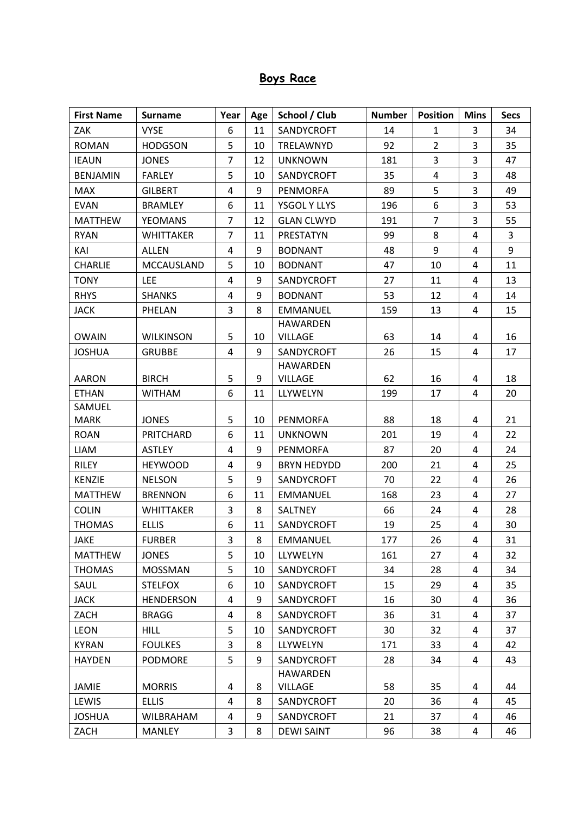# **Boys Race**

| <b>First Name</b>     | <b>Surname</b>   | Year                    | Age | School / Club      | <b>Number</b> | <b>Position</b> | <b>Mins</b>    | <b>Secs</b> |
|-----------------------|------------------|-------------------------|-----|--------------------|---------------|-----------------|----------------|-------------|
| ZAK                   | <b>VYSE</b>      | 6                       | 11  | SANDYCROFT         | 14            | 1               | 3              | 34          |
| <b>ROMAN</b>          | <b>HODGSON</b>   | 5                       | 10  | TRELAWNYD          | 92            | $\overline{2}$  | 3              | 35          |
| <b>IEAUN</b>          | <b>JONES</b>     | $\overline{7}$          | 12  | <b>UNKNOWN</b>     | 181           | 3               | 3              | 47          |
| <b>BENJAMIN</b>       | <b>FARLEY</b>    | 5                       | 10  | <b>SANDYCROFT</b>  | 35            | 4               | 3              | 48          |
| <b>MAX</b>            | <b>GILBERT</b>   | $\overline{\mathbf{4}}$ | 9   | <b>PENMORFA</b>    | 89            | 5               | 3              | 49          |
| <b>EVAN</b>           | <b>BRAMLEY</b>   | 6                       | 11  | YSGOL Y LLYS       | 196           | 6               | 3              | 53          |
| <b>MATTHEW</b>        | <b>YEOMANS</b>   | $\overline{7}$          | 12  | <b>GLAN CLWYD</b>  | 191           | $\overline{7}$  | 3              | 55          |
| <b>RYAN</b>           | <b>WHITTAKER</b> | $\overline{7}$          | 11  | PRESTATYN          | 99            | 8               | $\overline{4}$ | 3           |
| KAI                   | <b>ALLEN</b>     | 4                       | 9   | <b>BODNANT</b>     | 48            | 9               | 4              | 9           |
| <b>CHARLIE</b>        | MCCAUSLAND       | 5                       | 10  | <b>BODNANT</b>     | 47            | 10              | 4              | 11          |
| <b>TONY</b>           | <b>LEE</b>       | 4                       | 9   | SANDYCROFT         | 27            | 11              | 4              | 13          |
| <b>RHYS</b>           | <b>SHANKS</b>    | 4                       | 9   | <b>BODNANT</b>     | 53            | 12              | 4              | 14          |
| <b>JACK</b>           | PHELAN           | 3                       | 8   | <b>EMMANUEL</b>    | 159           | 13              | 4              | 15          |
|                       |                  |                         |     | <b>HAWARDEN</b>    |               |                 |                |             |
| <b>OWAIN</b>          | <b>WILKINSON</b> | 5                       | 10  | <b>VILLAGE</b>     | 63            | 14              | 4              | 16          |
| <b>JOSHUA</b>         | <b>GRUBBE</b>    | 4                       | 9   | SANDYCROFT         | 26            | 15              | 4              | 17          |
|                       |                  |                         |     | <b>HAWARDEN</b>    |               |                 |                |             |
| <b>AARON</b>          | <b>BIRCH</b>     | 5                       | 9   | <b>VILLAGE</b>     | 62            | 16              | 4              | 18          |
| <b>ETHAN</b>          | <b>WITHAM</b>    | 6                       | 11  | LLYWELYN           | 199           | 17              | $\overline{4}$ | 20          |
| SAMUEL<br><b>MARK</b> | <b>JONES</b>     | 5                       | 10  | <b>PENMORFA</b>    | 88            | 18              | 4              | 21          |
| <b>ROAN</b>           | PRITCHARD        | 6                       | 11  | <b>UNKNOWN</b>     | 201           | 19              | $\overline{4}$ | 22          |
| LIAM                  | <b>ASTLEY</b>    | 4                       | 9   | <b>PENMORFA</b>    | 87            | 20              | 4              | 24          |
| <b>RILEY</b>          | <b>HEYWOOD</b>   | 4                       | 9   | <b>BRYN HEDYDD</b> | 200           | 21              | $\overline{a}$ | 25          |
| <b>KENZIE</b>         | <b>NELSON</b>    | 5                       | 9   | SANDYCROFT         | 70            | 22              | $\overline{4}$ | 26          |
| <b>MATTHEW</b>        | <b>BRENNON</b>   | 6                       | 11  | <b>EMMANUEL</b>    | 168           | 23              | 4              | 27          |
| <b>COLIN</b>          | <b>WHITTAKER</b> | 3                       | 8   | <b>SALTNEY</b>     | 66            | 24              | 4              | 28          |
| <b>THOMAS</b>         | <b>ELLIS</b>     | 6                       | 11  | SANDYCROFT         | 19            | 25              | 4              | 30          |
| <b>JAKE</b>           | <b>FURBER</b>    | 3                       | 8   | EMMANUEL           | 177           | 26              | 4              | 31          |
| <b>MATTHEW</b>        | <b>JONES</b>     | 5                       | 10  | LLYWELYN           | 161           | 27              | 4              | 32          |
| <b>THOMAS</b>         | <b>MOSSMAN</b>   | 5                       | 10  | SANDYCROFT         | 34            | 28              | 4              | 34          |
| SAUL                  | <b>STELFOX</b>   | 6                       | 10  | SANDYCROFT         | 15            | 29              | 4              | 35          |
| <b>JACK</b>           | <b>HENDERSON</b> | 4                       | 9   | SANDYCROFT         | 16            | 30              | 4              | 36          |
| ZACH                  | <b>BRAGG</b>     | $\overline{4}$          | 8   | SANDYCROFT         | 36            | 31              | 4              | 37          |
| <b>LEON</b>           | <b>HILL</b>      | 5                       | 10  | SANDYCROFT         | 30            | 32              | 4              | 37          |
| <b>KYRAN</b>          | <b>FOULKES</b>   | 3                       | 8   | LLYWELYN           | 171           | 33              | 4              | 42          |
| <b>HAYDEN</b>         | <b>PODMORE</b>   | 5                       | 9   | SANDYCROFT         | 28            | 34              | 4              | 43          |
|                       |                  |                         |     | <b>HAWARDEN</b>    |               |                 |                |             |
| <b>JAMIE</b>          | <b>MORRIS</b>    | 4                       | 8   | <b>VILLAGE</b>     | 58            | 35              | 4              | 44          |
| LEWIS                 | <b>ELLIS</b>     | 4                       | 8   | SANDYCROFT         | 20            | 36              | 4              | 45          |
| <b>JOSHUA</b>         | <b>WILBRAHAM</b> | 4                       | 9   | SANDYCROFT         | 21            | 37              | 4              | 46          |
| ZACH                  | <b>MANLEY</b>    | 3                       | 8   | <b>DEWI SAINT</b>  | 96            | 38              | 4              | 46          |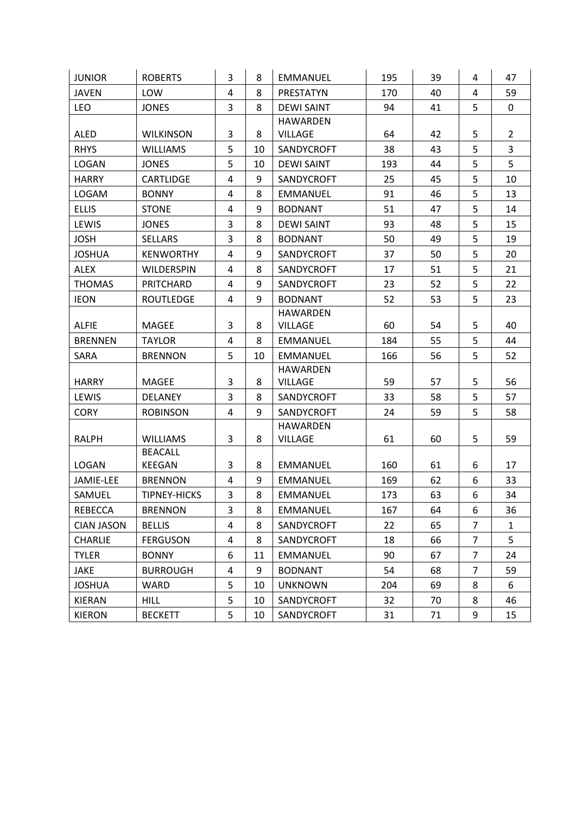| <b>JUNIOR</b>     | <b>ROBERTS</b>                  | 3              | 8  | <b>EMMANUEL</b>   | 195 | 39 | 4              | 47             |
|-------------------|---------------------------------|----------------|----|-------------------|-----|----|----------------|----------------|
| <b>JAVEN</b>      | LOW                             | 4              | 8  | PRESTATYN         | 170 | 40 | 4              | 59             |
| <b>LEO</b>        | <b>JONES</b>                    | 3              | 8  | <b>DEWI SAINT</b> | 94  | 41 | 5              | $\mathbf 0$    |
|                   |                                 |                |    | <b>HAWARDEN</b>   |     |    |                |                |
| <b>ALED</b>       | <b>WILKINSON</b>                | 3              | 8  | <b>VILLAGE</b>    | 64  | 42 | 5              | $\overline{2}$ |
| <b>RHYS</b>       | <b>WILLIAMS</b>                 | 5              | 10 | SANDYCROFT        | 38  | 43 | 5              | 3              |
| <b>LOGAN</b>      | <b>JONES</b>                    | 5              | 10 | <b>DEWI SAINT</b> | 193 | 44 | 5              | 5              |
| <b>HARRY</b>      | <b>CARTLIDGE</b>                | $\overline{4}$ | 9  | SANDYCROFT        | 25  | 45 | 5              | 10             |
| LOGAM             | <b>BONNY</b>                    | 4              | 8  | <b>EMMANUEL</b>   | 91  | 46 | 5              | 13             |
| <b>ELLIS</b>      | <b>STONE</b>                    | 4              | 9  | <b>BODNANT</b>    | 51  | 47 | 5              | 14             |
| LEWIS             | <b>JONES</b>                    | 3              | 8  | <b>DEWI SAINT</b> | 93  | 48 | 5              | 15             |
| <b>JOSH</b>       | <b>SELLARS</b>                  | 3              | 8  | <b>BODNANT</b>    | 50  | 49 | 5              | 19             |
| <b>JOSHUA</b>     | <b>KENWORTHY</b>                | 4              | 9  | SANDYCROFT        | 37  | 50 | 5              | 20             |
| <b>ALEX</b>       | <b>WILDERSPIN</b>               | 4              | 8  | SANDYCROFT        | 17  | 51 | 5              | 21             |
| <b>THOMAS</b>     | PRITCHARD                       | $\overline{4}$ | 9  | SANDYCROFT        | 23  | 52 | 5              | 22             |
| <b>IEON</b>       | <b>ROUTLEDGE</b>                | 4              | 9  | <b>BODNANT</b>    | 52  | 53 | 5              | 23             |
|                   |                                 |                |    | <b>HAWARDEN</b>   |     |    |                |                |
| <b>ALFIE</b>      | <b>MAGEE</b>                    | 3              | 8  | <b>VILLAGE</b>    | 60  | 54 | 5              | 40             |
| <b>BRENNEN</b>    | <b>TAYLOR</b>                   | 4              | 8  | <b>EMMANUEL</b>   | 184 | 55 | 5              | 44             |
| SARA              | <b>BRENNON</b>                  | 5              | 10 | <b>EMMANUEL</b>   | 166 | 56 | 5              | 52             |
|                   |                                 |                |    | <b>HAWARDEN</b>   |     |    |                |                |
| <b>HARRY</b>      | <b>MAGEE</b>                    | 3              | 8  | <b>VILLAGE</b>    | 59  | 57 | 5              | 56             |
| LEWIS             | DELANEY                         | 3              | 8  | SANDYCROFT        | 33  | 58 | 5              | 57             |
| <b>CORY</b>       | <b>ROBINSON</b>                 | 4              | 9  | SANDYCROFT        | 24  | 59 | 5              | 58             |
|                   |                                 |                |    | <b>HAWARDEN</b>   |     |    |                |                |
| <b>RALPH</b>      | <b>WILLIAMS</b>                 | 3              | 8  | <b>VILLAGE</b>    | 61  | 60 | 5              | 59             |
|                   | <b>BEACALL</b><br><b>KEEGAN</b> |                | 8  |                   | 160 | 61 |                | 17             |
| <b>LOGAN</b>      |                                 | 3<br>4         | 9  | <b>EMMANUEL</b>   |     | 62 | 6<br>6         | 33             |
| JAMIE-LEE         | <b>BRENNON</b>                  |                |    | <b>EMMANUEL</b>   | 169 |    |                |                |
| SAMUEL            | <b>TIPNEY-HICKS</b>             | 3              | 8  | <b>EMMANUEL</b>   | 173 | 63 | 6              | 34             |
| <b>REBECCA</b>    | <b>BRENNON</b>                  | 3              | 8  | EMMANUEL          | 167 | 64 | 6              | 36             |
| <b>CIAN JASON</b> | <b>BELLIS</b>                   | 4              | 8  | SANDYCROFT        | 22  | 65 | 7              | $\mathbf{1}$   |
| <b>CHARLIE</b>    | <b>FERGUSON</b>                 | 4              | 8  | SANDYCROFT        | 18  | 66 | 7              | 5              |
| <b>TYLER</b>      | <b>BONNY</b>                    | 6              | 11 | <b>EMMANUEL</b>   | 90  | 67 | $\overline{7}$ | 24             |
| JAKE              | <b>BURROUGH</b>                 | 4              | 9  | <b>BODNANT</b>    | 54  | 68 | 7              | 59             |
| <b>JOSHUA</b>     | WARD                            | 5              | 10 | <b>UNKNOWN</b>    | 204 | 69 | 8              | 6              |
| <b>KIERAN</b>     | <b>HILL</b>                     | 5              | 10 | SANDYCROFT        | 32  | 70 | 8              | 46             |
| <b>KIERON</b>     | <b>BECKETT</b>                  | 5              | 10 | SANDYCROFT        | 31  | 71 | 9              | 15             |